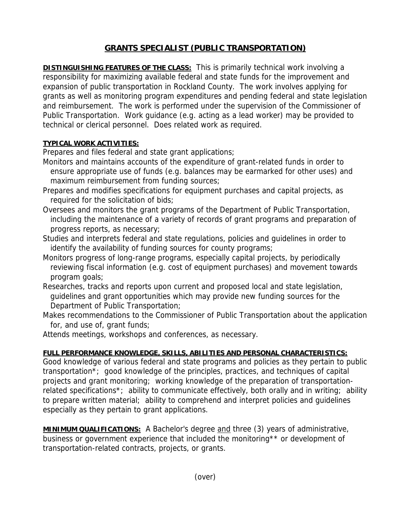## **GRANTS SPECIALIST (PUBLIC TRANSPORTATION)**

**DISTINGUISHING FEATURES OF THE CLASS:** This is primarily technical work involving a responsibility for maximizing available federal and state funds for the improvement and expansion of public transportation in Rockland County. The work involves applying for grants as well as monitoring program expenditures and pending federal and state legislation and reimbursement. The work is performed under the supervision of the Commissioner of Public Transportation. Work guidance (e.g. acting as a lead worker) may be provided to technical or clerical personnel. Does related work as required.

## **TYPICAL WORK ACTIVITIES:**

Prepares and files federal and state grant applications;

- Monitors and maintains accounts of the expenditure of grant-related funds in order to ensure appropriate use of funds (e.g. balances may be earmarked for other uses) and maximum reimbursement from funding sources;
- Prepares and modifies specifications for equipment purchases and capital projects, as required for the solicitation of bids;
- Oversees and monitors the grant programs of the Department of Public Transportation, including the maintenance of a variety of records of grant programs and preparation of progress reports, as necessary;
- Studies and interprets federal and state regulations, policies and guidelines in order to identify the availability of funding sources for county programs;
- Monitors progress of long-range programs, especially capital projects, by periodically reviewing fiscal information (e.g. cost of equipment purchases) and movement towards program goals;
- Researches, tracks and reports upon current and proposed local and state legislation, guidelines and grant opportunities which may provide new funding sources for the Department of Public Transportation;
- Makes recommendations to the Commissioner of Public Transportation about the application for, and use of, grant funds;

Attends meetings, workshops and conferences, as necessary.

## **FULL PERFORMANCE KNOWLEDGE, SKILLS, ABILITIES AND PERSONAL CHARACTERISTICS:**

Good knowledge of various federal and state programs and policies as they pertain to public transportation\*; good knowledge of the principles, practices, and techniques of capital projects and grant monitoring; working knowledge of the preparation of transportationrelated specifications<sup>\*</sup>; ability to communicate effectively, both orally and in writing; ability to prepare written material; ability to comprehend and interpret policies and guidelines especially as they pertain to grant applications.

**MINIMUM QUALIFICATIONS:** A Bachelor's degree and three (3) years of administrative, business or government experience that included the monitoring\*\* or development of transportation-related contracts, projects, or grants.